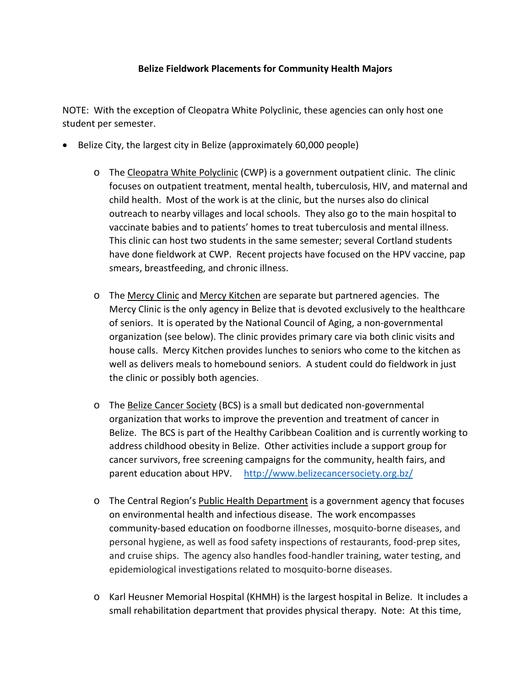## **Belize Fieldwork Placements for Community Health Majors**

NOTE: With the exception of Cleopatra White Polyclinic, these agencies can only host one student per semester.

- Belize City, the largest city in Belize (approximately 60,000 people)
	- o The Cleopatra White Polyclinic (CWP) is a government outpatient clinic. The clinic focuses on outpatient treatment, mental health, tuberculosis, HIV, and maternal and child health. Most of the work is at the clinic, but the nurses also do clinical outreach to nearby villages and local schools. They also go to the main hospital to vaccinate babies and to patients' homes to treat tuberculosis and mental illness. This clinic can host two students in the same semester; several Cortland students have done fieldwork at CWP. Recent projects have focused on the HPV vaccine, pap smears, breastfeeding, and chronic illness.
	- o The Mercy Clinic and Mercy Kitchen are separate but partnered agencies. The Mercy Clinic is the only agency in Belize that is devoted exclusively to the healthcare of seniors. It is operated by the National Council of Aging, a non-governmental organization (see below). The clinic provides primary care via both clinic visits and house calls. Mercy Kitchen provides lunches to seniors who come to the kitchen as well as delivers meals to homebound seniors. A student could do fieldwork in just the clinic or possibly both agencies.
	- o The Belize Cancer Society (BCS) is a small but dedicated non-governmental organization that works to improve the prevention and treatment of cancer in Belize. The BCS is part of the Healthy Caribbean Coalition and is currently working to address childhood obesity in Belize. Other activities include a support group for cancer survivors, free screening campaigns for the community, health fairs, and parent education about HPV. <http://www.belizecancersociety.org.bz/>
	- o The Central Region's Public Health Department is a government agency that focuses on environmental health and infectious disease. The work encompasses community-based education on foodborne illnesses, mosquito-borne diseases, and personal hygiene, as well as food safety inspections of restaurants, food-prep sites, and cruise ships. The agency also handles food-handler training, water testing, and epidemiological investigations related to mosquito-borne diseases.
	- o Karl Heusner Memorial Hospital (KHMH) is the largest hospital in Belize. It includes a small rehabilitation department that provides physical therapy. Note: At this time,